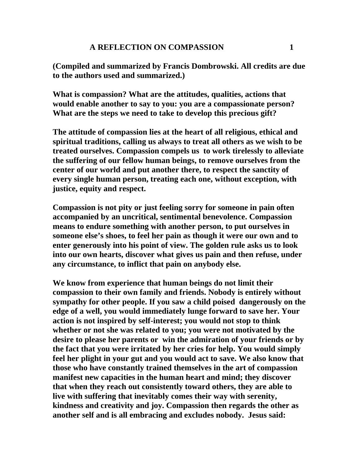**(Compiled and summarized by Francis Dombrowski. All credits are due to the authors used and summarized.)** 

**What is compassion? What are the attitudes, qualities, actions that would enable another to say to you: you are a compassionate person? What are the steps we need to take to develop this precious gift?** 

**The attitude of compassion lies at the heart of all religious, ethical and spiritual traditions, calling us always to treat all others as we wish to be treated ourselves. Compassion compels us to work tirelessly to alleviate the suffering of our fellow human beings, to remove ourselves from the center of our world and put another there, to respect the sanctity of every single human person, treating each one, without exception, with justice, equity and respect.** 

**Compassion is not pity or just feeling sorry for someone in pain often accompanied by an uncritical, sentimental benevolence. Compassion means to endure something with another person, to put ourselves in someone else's shoes, to feel her pain as though it were our own and to enter generously into his point of view. The golden rule asks us to look into our own hearts, discover what gives us pain and then refuse, under any circumstance, to inflict that pain on anybody else.** 

**We know from experience that human beings do not limit their compassion to their own family and friends. Nobody is entirely without sympathy for other people. If you saw a child poised dangerously on the edge of a well, you would immediately lunge forward to save her. Your action is not inspired by self-interest; you would not stop to think whether or not she was related to you; you were not motivated by the desire to please her parents or win the admiration of your friends or by the fact that you were irritated by her cries for help. You would simply feel her plight in your gut and you would act to save. We also know that those who have constantly trained themselves in the art of compassion manifest new capacities in the human heart and mind; they discover that when they reach out consistently toward others, they are able to live with suffering that inevitably comes their way with serenity, kindness and creativity and joy. Compassion then regards the other as another self and is all embracing and excludes nobody. Jesus said:**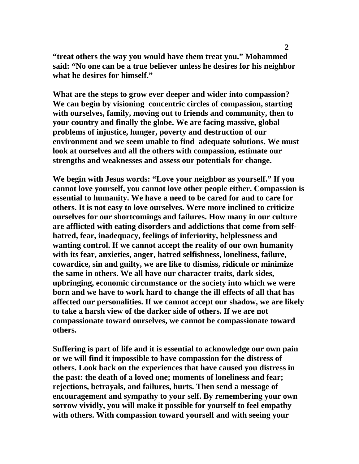**"treat others the way you would have them treat you." Mohammed said: "No one can be a true believer unless he desires for his neighbor what he desires for himself."** 

**What are the steps to grow ever deeper and wider into compassion? We can begin by visioning concentric circles of compassion, starting with ourselves, family, moving out to friends and community, then to your country and finally the globe. We are facing massive, global problems of injustice, hunger, poverty and destruction of our environment and we seem unable to find adequate solutions. We must look at ourselves and all the others with compassion, estimate our strengths and weaknesses and assess our potentials for change.** 

**We begin with Jesus words: "Love your neighbor as yourself." If you cannot love yourself, you cannot love other people either. Compassion is essential to humanity. We have a need to be cared for and to care for others. It is not easy to love ourselves. Were more inclined to criticize ourselves for our shortcomings and failures. How many in our culture are afflicted with eating disorders and addictions that come from selfhatred, fear, inadequacy, feelings of inferiority, helplessness and wanting control. If we cannot accept the reality of our own humanity with its fear, anxieties, anger, hatred selfishness, loneliness, failure, cowardice, sin and guilty, we are like to dismiss, ridicule or minimize the same in others. We all have our character traits, dark sides, upbringing, economic circumstance or the society into which we were born and we have to work hard to change the ill effects of all that has affected our personalities. If we cannot accept our shadow, we are likely to take a harsh view of the darker side of others. If we are not compassionate toward ourselves, we cannot be compassionate toward others.** 

**Suffering is part of life and it is essential to acknowledge our own pain or we will find it impossible to have compassion for the distress of others. Look back on the experiences that have caused you distress in the past: the death of a loved one; moments of loneliness and fear; rejections, betrayals, and failures, hurts. Then send a message of encouragement and sympathy to your self. By remembering your own sorrow vividly, you will make it possible for yourself to feel empathy with others. With compassion toward yourself and with seeing your**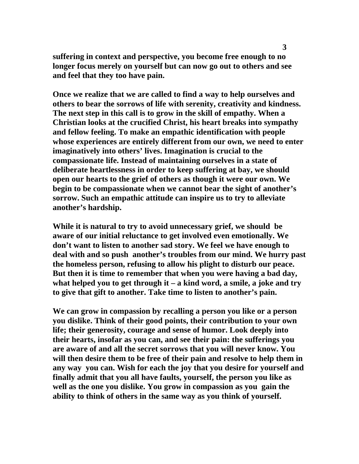**suffering in context and perspective, you become free enough to no longer focus merely on yourself but can now go out to others and see and feel that they too have pain.** 

**Once we realize that we are called to find a way to help ourselves and others to bear the sorrows of life with serenity, creativity and kindness. The next step in this call is to grow in the skill of empathy. When a Christian looks at the crucified Christ, his heart breaks into sympathy and fellow feeling. To make an empathic identification with people whose experiences are entirely different from our own, we need to enter imaginatively into others' lives. Imagination is crucial to the compassionate life. Instead of maintaining ourselves in a state of deliberate heartlessness in order to keep suffering at bay, we should open our hearts to the grief of others as though it were our own. We begin to be compassionate when we cannot bear the sight of another's sorrow. Such an empathic attitude can inspire us to try to alleviate another's hardship.** 

**While it is natural to try to avoid unnecessary grief, we should be aware of our initial reluctance to get involved even emotionally. We don't want to listen to another sad story. We feel we have enough to deal with and so push another's troubles from our mind. We hurry past the homeless person, refusing to allow his plight to disturb our peace. But then it is time to remember that when you were having a bad day, what helped you to get through it – a kind word, a smile, a joke and try to give that gift to another. Take time to listen to another's pain.** 

**We can grow in compassion by recalling a person you like or a person you dislike. Think of their good points, their contribution to your own life; their generosity, courage and sense of humor. Look deeply into their hearts, insofar as you can, and see their pain: the sufferings you are aware of and all the secret sorrows that you will never know. You will then desire them to be free of their pain and resolve to help them in any way you can. Wish for each the joy that you desire for yourself and finally admit that you all have faults, yourself, the person you like as well as the one you dislike. You grow in compassion as you gain the ability to think of others in the same way as you think of yourself.**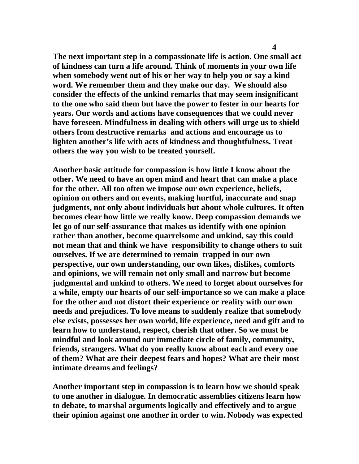**The next important step in a compassionate life is action. One small act of kindness can turn a life around. Think of moments in your own life when somebody went out of his or her way to help you or say a kind word. We remember them and they make our day. We should also consider the effects of the unkind remarks that may seem insignificant to the one who said them but have the power to fester in our hearts for years. Our words and actions have consequences that we could never have foreseen. Mindfulness in dealing with others will urge us to shield others from destructive remarks and actions and encourage us to lighten another's life with acts of kindness and thoughtfulness. Treat others the way you wish to be treated yourself.** 

**Another basic attitude for compassion is how little I know about the other. We need to have an open mind and heart that can make a place for the other. All too often we impose our own experience, beliefs, opinion on others and on events, making hurtful, inaccurate and snap judgments, not only about individuals but about whole cultures. It often becomes clear how little we really know. Deep compassion demands we let go of our self-assurance that makes us identify with one opinion rather than another, become quarrelsome and unkind, say this could not mean that and think we have responsibility to change others to suit ourselves. If we are determined to remain trapped in our own perspective, our own understanding, our own likes, dislikes, comforts and opinions, we will remain not only small and narrow but become judgmental and unkind to others. We need to forget about ourselves for a while, empty our hearts of our self-importance so we can make a place for the other and not distort their experience or reality with our own needs and prejudices. To love means to suddenly realize that somebody else exists, possesses her own world, life experience, need and gift and to learn how to understand, respect, cherish that other. So we must be mindful and look around our immediate circle of family, community, friends, strangers. What do you really know about each and every one of them? What are their deepest fears and hopes? What are their most intimate dreams and feelings?** 

**Another important step in compassion is to learn how we should speak to one another in dialogue. In democratic assemblies citizens learn how to debate, to marshal arguments logically and effectively and to argue their opinion against one another in order to win. Nobody was expected**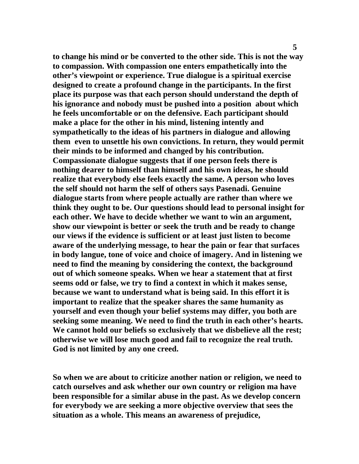**to change his mind or be converted to the other side. This is not the way to compassion. With compassion one enters empathetically into the other's viewpoint or experience. True dialogue is a spiritual exercise designed to create a profound change in the participants. In the first place its purpose was that each person should understand the depth of his ignorance and nobody must be pushed into a position about which he feels uncomfortable or on the defensive. Each participant should make a place for the other in his mind, listening intently and sympathetically to the ideas of his partners in dialogue and allowing them even to unsettle his own convictions. In return, they would permit their minds to be informed and changed by his contribution. Compassionate dialogue suggests that if one person feels there is nothing dearer to himself than himself and his own ideas, he should realize that everybody else feels exactly the same. A person who loves the self should not harm the self of others says Pasenadi. Genuine dialogue starts from where people actually are rather than where we think they ought to be. Our questions should lead to personal insight for each other. We have to decide whether we want to win an argument, show our viewpoint is better or seek the truth and be ready to change our views if the evidence is sufficient or at least just listen to become aware of the underlying message, to hear the pain or fear that surfaces in body langue, tone of voice and choice of imagery. And in listening we need to find the meaning by considering the context, the background out of which someone speaks. When we hear a statement that at first seems odd or false, we try to find a context in which it makes sense, because we want to understand what is being said. In this effort it is important to realize that the speaker shares the same humanity as yourself and even though your belief systems may differ, you both are seeking some meaning. We need to find the truth in each other's hearts. We cannot hold our beliefs so exclusively that we disbelieve all the rest; otherwise we will lose much good and fail to recognize the real truth. God is not limited by any one creed.** 

**So when we are about to criticize another nation or religion, we need to catch ourselves and ask whether our own country or religion ma have been responsible for a similar abuse in the past. As we develop concern for everybody we are seeking a more objective overview that sees the situation as a whole. This means an awareness of prejudice,**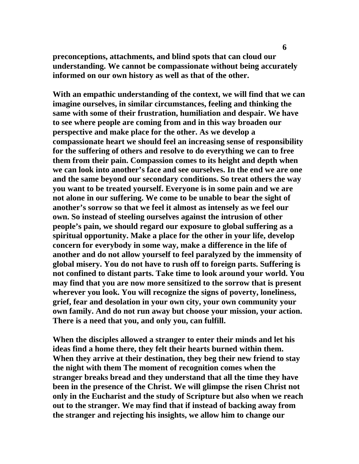**preconceptions, attachments, and blind spots that can cloud our understanding. We cannot be compassionate without being accurately informed on our own history as well as that of the other.** 

**With an empathic understanding of the context, we will find that we can imagine ourselves, in similar circumstances, feeling and thinking the same with some of their frustration, humiliation and despair. We have to see where people are coming from and in this way broaden our perspective and make place for the other. As we develop a compassionate heart we should feel an increasing sense of responsibility for the suffering of others and resolve to do everything we can to free them from their pain. Compassion comes to its height and depth when we can look into another's face and see ourselves. In the end we are one and the same beyond our secondary conditions. So treat others the way you want to be treated yourself. Everyone is in some pain and we are not alone in our suffering. We come to be unable to bear the sight of another's sorrow so that we feel it almost as intensely as we feel our own. So instead of steeling ourselves against the intrusion of other people's pain, we should regard our exposure to global suffering as a spiritual opportunity. Make a place for the other in your life, develop concern for everybody in some way, make a difference in the life of another and do not allow yourself to feel paralyzed by the immensity of global misery. You do not have to rush off to foreign parts. Suffering is not confined to distant parts. Take time to look around your world. You may find that you are now more sensitized to the sorrow that is present wherever you look. You will recognize the signs of poverty, loneliness, grief, fear and desolation in your own city, your own community your own family. And do not run away but choose your mission, your action. There is a need that you, and only you, can fulfill.** 

**When the disciples allowed a stranger to enter their minds and let his ideas find a home there, they felt their hearts burned within them. When they arrive at their destination, they beg their new friend to stay the night with them The moment of recognition comes when the stranger breaks bread and they understand that all the time they have been in the presence of the Christ. We will glimpse the risen Christ not only in the Eucharist and the study of Scripture but also when we reach out to the stranger. We may find that if instead of backing away from the stranger and rejecting his insights, we allow him to change our**